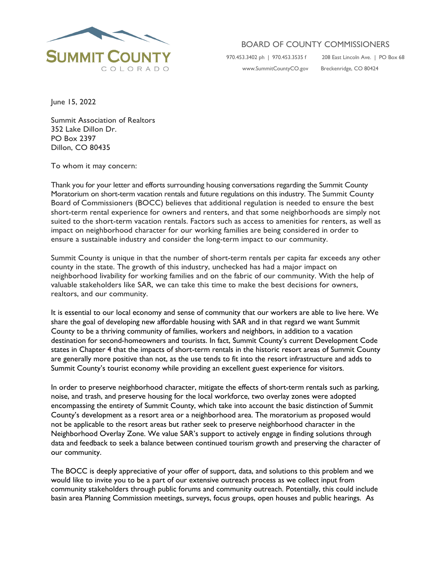

## BOARD OF COUNTY COMMISSIONERS

[www.SummitCountyCO.gov](http://www.summitcountyco.gov/) Breckenridge, CO 80424

970.453.3402 ph | 970.453.3535 f 208 East Lincoln Ave. | PO Box 68

June 15, 2022

Summit Association of Realtors 352 Lake Dillon Dr. PO Box 2397 Dillon, CO 80435

To whom it may concern:

Thank you for your letter and efforts surrounding housing conversations regarding the Summit County Moratorium on short-term vacation rentals and future regulations on this industry. The Summit County Board of Commissioners (BOCC) believes that additional regulation is needed to ensure the best short-term rental experience for owners and renters, and that some neighborhoods are simply not suited to the short-term vacation rentals. Factors such as access to amenities for renters, as well as impact on neighborhood character for our working families are being considered in order to ensure a sustainable industry and consider the long-term impact to our community.

Summit County is unique in that the number of short-term rentals per capita far exceeds any other county in the state. The growth of this industry, unchecked has had a major impact on neighborhood livability for working families and on the fabric of our community. With the help of valuable stakeholders like SAR, we can take this time to make the best decisions for owners, realtors, and our community.

It is essential to our local economy and sense of community that our workers are able to live here. We share the goal of developing new affordable housing with SAR and in that regard we want Summit County to be a thriving community of families, workers and neighbors, in addition to a vacation destination for second-homeowners and tourists. In fact, Summit County's current Development Code states in Chapter 4 that the impacts of short-term rentals in the historic resort areas of Summit County are generally more positive than not, as the use tends to fit into the resort infrastructure and adds to Summit County's tourist economy while providing an excellent guest experience for visitors.

In order to preserve neighborhood character, mitigate the effects of short-term rentals such as parking, noise, and trash, and preserve housing for the local workforce, two overlay zones were adopted encompassing the entirety of Summit County, which take into account the basic distinction of Summit County's development as a resort area or a neighborhood area. The moratorium as proposed would not be applicable to the resort areas but rather seek to preserve neighborhood character in the Neighborhood Overlay Zone. We value SAR's support to actively engage in finding solutions through data and feedback to seek a balance between continued tourism growth and preserving the character of our community.

The BOCC is deeply appreciative of your offer of support, data, and solutions to this problem and we would like to invite you to be a part of our extensive outreach process as we collect input from community stakeholders through public forums and community outreach. Potentially, this could include basin area Planning Commission meetings, surveys, focus groups, open houses and public hearings. As